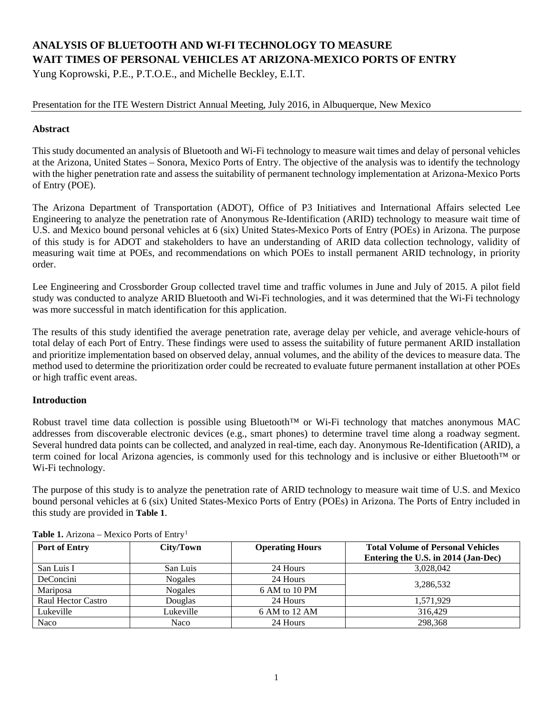# **ANALYSIS OF BLUETOOTH AND WI-FI TECHNOLOGY TO MEASURE WAIT TIMES OF PERSONAL VEHICLES AT ARIZONA-MEXICO PORTS OF ENTRY**

Yung Koprowski, P.E., P.T.O.E., and Michelle Beckley, E.I.T.

Presentation for the ITE Western District Annual Meeting, July 2016, in Albuquerque, New Mexico

## **Abstract**

This study documented an analysis of Bluetooth and Wi-Fi technology to measure wait times and delay of personal vehicles at the Arizona, United States – Sonora, Mexico Ports of Entry. The objective of the analysis was to identify the technology with the higher penetration rate and assess the suitability of permanent technology implementation at Arizona-Mexico Ports of Entry (POE).

The Arizona Department of Transportation (ADOT), Office of P3 Initiatives and International Affairs selected Lee Engineering to analyze the penetration rate of Anonymous Re-Identification (ARID) technology to measure wait time of U.S. and Mexico bound personal vehicles at 6 (six) United States-Mexico Ports of Entry (POEs) in Arizona. The purpose of this study is for ADOT and stakeholders to have an understanding of ARID data collection technology, validity of measuring wait time at POEs, and recommendations on which POEs to install permanent ARID technology, in priority order.

Lee Engineering and Crossborder Group collected travel time and traffic volumes in June and July of 2015. A pilot field study was conducted to analyze ARID Bluetooth and Wi-Fi technologies, and it was determined that the Wi-Fi technology was more successful in match identification for this application.

The results of this study identified the average penetration rate, average delay per vehicle, and average vehicle-hours of total delay of each Port of Entry. These findings were used to assess the suitability of future permanent ARID installation and prioritize implementation based on observed delay, annual volumes, and the ability of the devices to measure data. The method used to determine the prioritization order could be recreated to evaluate future permanent installation at other POEs or high traffic event areas.

## **Introduction**

Robust travel time data collection is possible using Bluetooth™ or Wi-Fi technology that matches anonymous MAC addresses from discoverable electronic devices (e.g., smart phones) to determine travel time along a roadway segment. Several hundred data points can be collected, and analyzed in real-time, each day. Anonymous Re-Identification (ARID), a term coined for local Arizona agencies, is commonly used for this technology and is inclusive or either Bluetooth™ or Wi-Fi technology.

The purpose of this study is to analyze the penetration rate of ARID technology to measure wait time of U.S. and Mexico bound personal vehicles at 6 (six) United States-Mexico Ports of Entry (POEs) in Arizona. The Ports of Entry included in this study are provided in **[Table 1](#page-0-0)**.

| <b>Port of Entry</b>      | City/Town      | <b>Operating Hours</b> | <b>Total Volume of Personal Vehicles</b><br>Entering the U.S. in 2014 (Jan-Dec) |
|---------------------------|----------------|------------------------|---------------------------------------------------------------------------------|
| San Luis I                | San Luis       | 24 Hours               | 3,028,042                                                                       |
| DeConcini                 | <b>Nogales</b> | 24 Hours               |                                                                                 |
| Mariposa                  | <b>Nogales</b> | 6 AM to 10 PM          | 3,286,532                                                                       |
| <b>Raul Hector Castro</b> | Douglas        | 24 Hours               | 1.571.929                                                                       |
| Lukeville                 | Lukeville      | 6 AM to 12 AM          | 316.429                                                                         |
| Naco                      | Naco           | 24 Hours               | 298.368                                                                         |

<span id="page-0-0"></span>Table [1](#page-7-0). Arizona – Mexico Ports of Entry<sup>1</sup>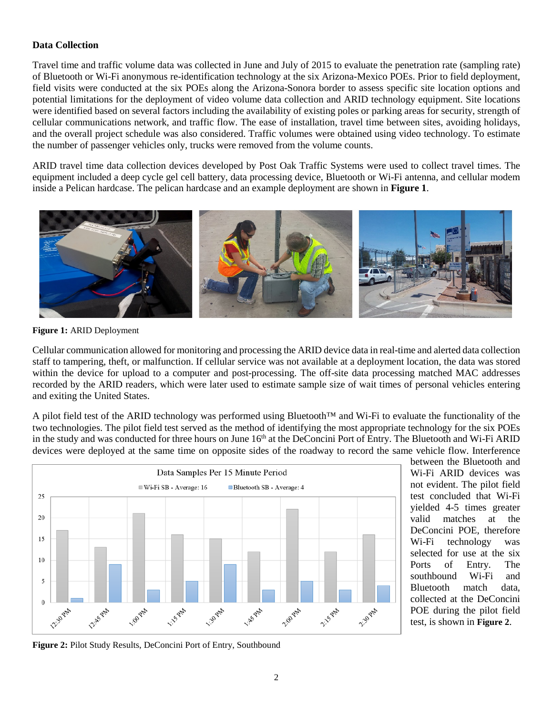### **Data Collection**

Travel time and traffic volume data was collected in June and July of 2015 to evaluate the penetration rate (sampling rate) of Bluetooth or Wi-Fi anonymous re-identification technology at the six Arizona-Mexico POEs. Prior to field deployment, field visits were conducted at the six POEs along the Arizona-Sonora border to assess specific site location options and potential limitations for the deployment of video volume data collection and ARID technology equipment. Site locations were identified based on several factors including the availability of existing poles or parking areas for security, strength of cellular communications network, and traffic flow. The ease of installation, travel time between sites, avoiding holidays, and the overall project schedule was also considered. Traffic volumes were obtained using video technology. To estimate the number of passenger vehicles only, trucks were removed from the volume counts.

ARID travel time data collection devices developed by Post Oak Traffic Systems were used to collect travel times. The equipment included a deep cycle gel cell battery, data processing device, Bluetooth or Wi-Fi antenna, and cellular modem inside a Pelican hardcase. The pelican hardcase and an example deployment are shown in **[Figure 1](#page-1-0)**.



**Figure 1:** ARID Deployment

<span id="page-1-0"></span>Cellular communication allowed for monitoring and processing the ARID device data in real-time and alerted data collection staff to tampering, theft, or malfunction. If cellular service was not available at a deployment location, the data was stored within the device for upload to a computer and post-processing. The off-site data processing matched MAC addresses recorded by the ARID readers, which were later used to estimate sample size of wait times of personal vehicles entering and exiting the United States.

A pilot field test of the ARID technology was performed using Bluetooth™ and Wi-Fi to evaluate the functionality of the two technologies. The pilot field test served as the method of identifying the most appropriate technology for the six POEs in the study and was conducted for three hours on June 16<sup>th</sup> at the DeConcini Port of Entry. The Bluetooth and Wi-Fi ARID devices were deployed at the same time on opposite sides of the roadway to record the same vehicle flow. Interference



between the Bluetooth and Wi-Fi ARID devices was not evident. The pilot field test concluded that Wi-Fi yielded 4-5 times greater valid matches at the DeConcini POE, therefore Wi-Fi technology was selected for use at the six Ports of Entry. The southbound Wi-Fi and Bluetooth match data, collected at the DeConcini POE during the pilot field test, is shown in **[Figure 2](#page-1-1)**.

<span id="page-1-1"></span>**Figure 2:** Pilot Study Results, DeConcini Port of Entry, Southbound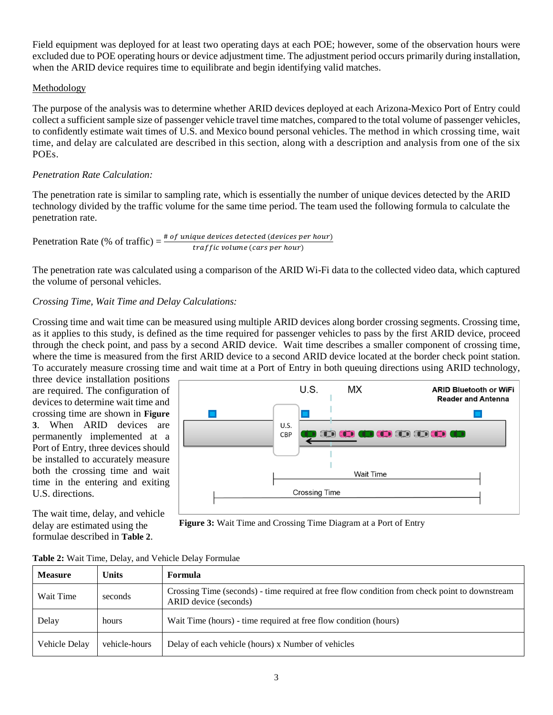Field equipment was deployed for at least two operating days at each POE; however, some of the observation hours were excluded due to POE operating hours or device adjustment time. The adjustment period occurs primarily during installation, when the ARID device requires time to equilibrate and begin identifying valid matches.

### Methodology

The purpose of the analysis was to determine whether ARID devices deployed at each Arizona-Mexico Port of Entry could collect a sufficient sample size of passenger vehicle travel time matches, compared to the total volume of passenger vehicles, to confidently estimate wait times of U.S. and Mexico bound personal vehicles. The method in which crossing time, wait time, and delay are calculated are described in this section, along with a description and analysis from one of the six POEs.

#### *Penetration Rate Calculation:*

The penetration rate is similar to sampling rate, which is essentially the number of unique devices detected by the ARID technology divided by the traffic volume for the same time period. The team used the following formula to calculate the penetration rate.

Peneration Rate (%) of traffic) = 
$$
\frac{\text{# of unique devices detected (devices per hour)}}{\text{traffic volume (cars per hour)}}
$$

The penetration rate was calculated using a comparison of the ARID Wi-Fi data to the collected video data, which captured the volume of personal vehicles.

### *Crossing Time, Wait Time and Delay Calculations:*

Crossing time and wait time can be measured using multiple ARID devices along border crossing segments. Crossing time, as it applies to this study, is defined as the time required for passenger vehicles to pass by the first ARID device, proceed through the check point, and pass by a second ARID device. Wait time describes a smaller component of crossing time, where the time is measured from the first ARID device to a second ARID device located at the border check point station. To accurately measure crossing time and wait time at a Port of Entry in both queuing directions using ARID technology,

three device installation positions are required. The configuration of devices to determine wait time and crossing time are shown in **[Figure](#page-2-0)  [3](#page-2-0)**. When ARID devices are permanently implemented at a Port of Entry, three devices should be installed to accurately measure both the crossing time and wait time in the entering and exiting U.S. directions.

The wait time, delay, and vehicle delay are estimated using the formulae described in **[Table 2](#page-2-1)**.



<span id="page-2-0"></span>**Figure 3:** Wait Time and Crossing Time Diagram at a Port of Entry

| <b>Measure</b> | Units         | Formula                                                                                                                |
|----------------|---------------|------------------------------------------------------------------------------------------------------------------------|
| Wait Time      | seconds       | Crossing Time (seconds) - time required at free flow condition from check point to downstream<br>ARID device (seconds) |
| Delay          | hours         | Wait Time (hours) - time required at free flow condition (hours)                                                       |
| Vehicle Delay  | vehicle-hours | Delay of each vehicle (hours) x Number of vehicles                                                                     |

<span id="page-2-1"></span>

| Table 2: Wait Time, Delay, and Vehicle Delay Formulae |  |  |
|-------------------------------------------------------|--|--|
|                                                       |  |  |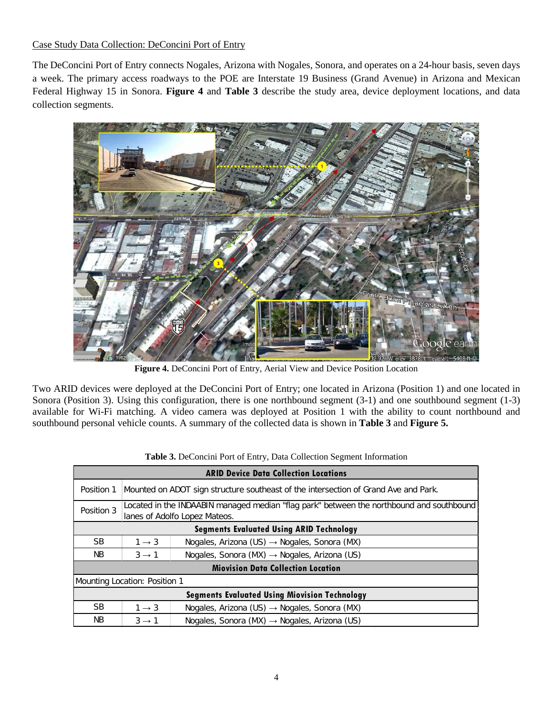Case Study Data Collection: DeConcini Port of Entry

The DeConcini Port of Entry connects Nogales, Arizona with Nogales, Sonora, and operates on a 24-hour basis, seven days a week. The primary access roadways to the POE are Interstate 19 Business (Grand Avenue) in Arizona and Mexican Federal Highway 15 in Sonora. **[Figure 4](#page-3-0)** and **[Table 3](#page-3-1)** describe the study area, device deployment locations, and data collection segments.



**Figure 4.** DeConcini Port of Entry, Aerial View and Device Position Location

<span id="page-3-0"></span>Two ARID devices were deployed at the DeConcini Port of Entry; one located in Arizona (Position 1) and one located in Sonora (Position 3). Using this configuration, there is one northbound segment (3-1) and one southbound segment (1-3) available for Wi-Fi matching. A video camera was deployed at Position 1 with the ability to count northbound and southbound personal vehicle counts. A summary of the collected data is shown in **[Table 3](#page-3-1)** and **[Figure 5.](#page-4-0)**

<span id="page-3-1"></span>

|                                                      | <b>ARID Device Data Collection Locations</b>                                                                              |                                                                                     |  |  |  |
|------------------------------------------------------|---------------------------------------------------------------------------------------------------------------------------|-------------------------------------------------------------------------------------|--|--|--|
| Position 1                                           |                                                                                                                           | Mounted on ADOT sign structure southeast of the intersection of Grand Ave and Park. |  |  |  |
| Position 3                                           | Located in the INDAABIN managed median "flag park" between the northbound and southbound<br>lanes of Adolfo Lopez Mateos. |                                                                                     |  |  |  |
|                                                      | <b>Segments Evaluated Using ARID Technology</b>                                                                           |                                                                                     |  |  |  |
| <b>SB</b>                                            | $1 \rightarrow 3$                                                                                                         | Nogales, Arizona (US) $\rightarrow$ Nogales, Sonora (MX)                            |  |  |  |
| NB.                                                  | $3 \rightarrow 1$                                                                                                         | Nogales, Sonora (MX) $\rightarrow$ Nogales, Arizona (US)                            |  |  |  |
|                                                      | <b>Miovision Data Collection Location</b>                                                                                 |                                                                                     |  |  |  |
|                                                      | Mounting Location: Position 1                                                                                             |                                                                                     |  |  |  |
| <b>Segments Evaluated Using Miovision Technology</b> |                                                                                                                           |                                                                                     |  |  |  |
| <b>SB</b>                                            | $1 \rightarrow 3$                                                                                                         | Nogales, Arizona (US) $\rightarrow$ Nogales, Sonora (MX)                            |  |  |  |
| NB.                                                  | $3 \rightarrow 1$                                                                                                         | Nogales, Sonora (MX) $\rightarrow$ Nogales, Arizona (US)                            |  |  |  |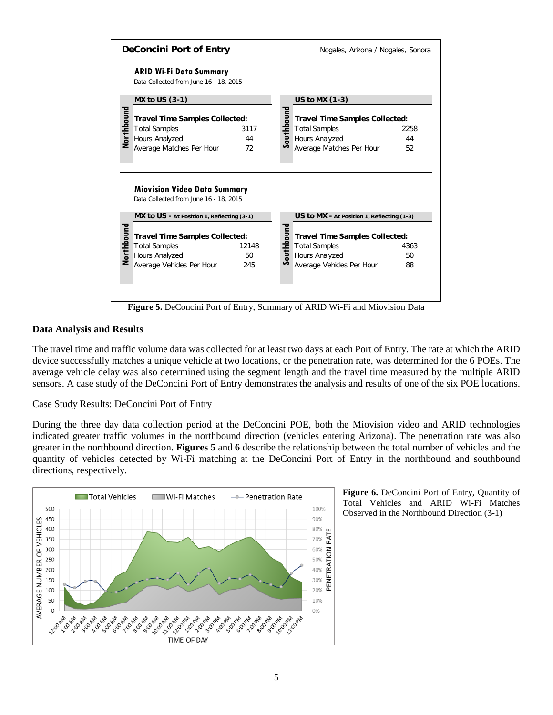

**Figure 5.** DeConcini Port of Entry, Summary of ARID Wi-Fi and Miovision Data

#### <span id="page-4-0"></span>**Data Analysis and Results**

The travel time and traffic volume data was collected for at least two days at each Port of Entry. The rate at which the ARID device successfully matches a unique vehicle at two locations, or the penetration rate, was determined for the 6 POEs. The average vehicle delay was also determined using the segment length and the travel time measured by the multiple ARID sensors. A case study of the DeConcini Port of Entry demonstrates the analysis and results of one of the six POE locations.

#### Case Study Results: DeConcini Port of Entry

During the three day data collection period at the DeConcini POE, both the Miovision video and ARID technologies indicated greater traffic volumes in the northbound direction (vehicles entering Arizona). The penetration rate was also greater in the northbound direction. **Figures 5** and **6** describe the relationship between the total number of vehicles and the quantity of vehicles detected by Wi-Fi matching at the DeConcini Port of Entry in the northbound and southbound directions, respectively.



**Figure 6.** DeConcini Port of Entry, Quantity of Total Vehicles and ARID Wi-Fi Matches Observed in the Northbound Direction (3-1)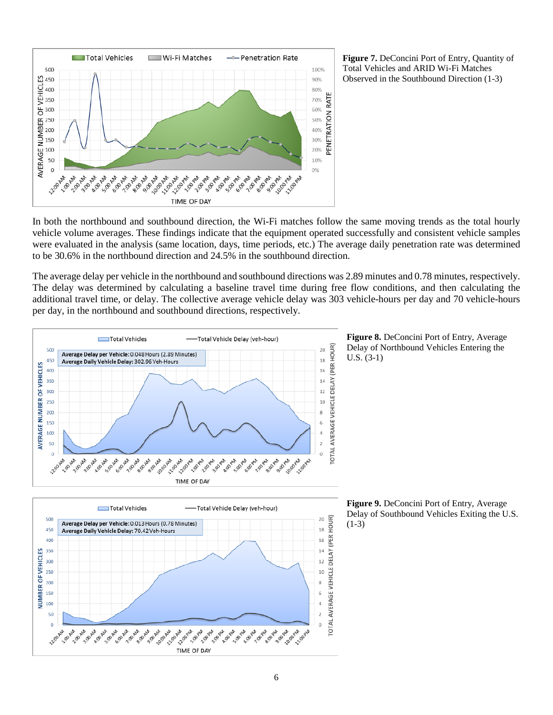

**Figure 7.** DeConcini Port of Entry, Quantity of Total Vehicles and ARID Wi-Fi Matches Observed in the Southbound Direction (1-3)

In both the northbound and southbound direction, the Wi-Fi matches follow the same moving trends as the total hourly vehicle volume averages. These findings indicate that the equipment operated successfully and consistent vehicle samples were evaluated in the analysis (same location, days, time periods, etc.) The average daily penetration rate was determined to be 30.6% in the northbound direction and 24.5% in the southbound direction.

The average delay per vehicle in the northbound and southbound directions was 2.89 minutes and 0.78 minutes, respectively. The delay was determined by calculating a baseline travel time during free flow conditions, and then calculating the additional travel time, or delay. The collective average vehicle delay was 303 vehicle-hours per day and 70 vehicle-hours per day, in the northbound and southbound directions, respectively.

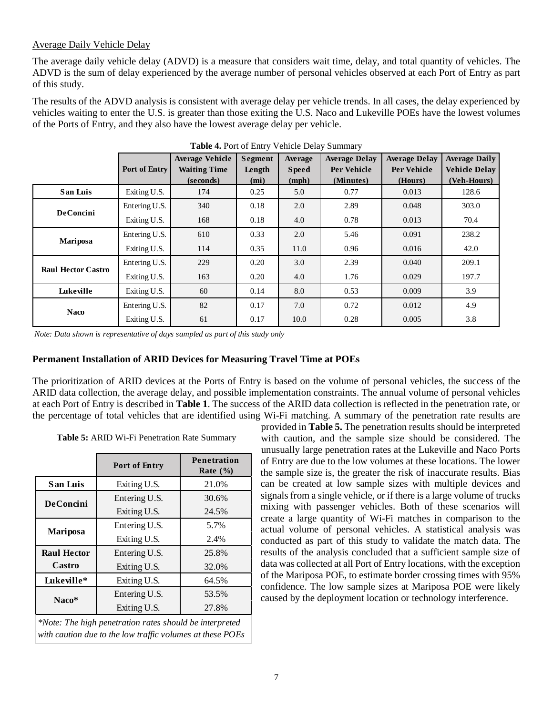## Average Daily Vehicle Delay

The average daily vehicle delay (ADVD) is a measure that considers wait time, delay, and total quantity of vehicles. The ADVD is the sum of delay experienced by the average number of personal vehicles observed at each Port of Entry as part of this study.

The results of the ADVD analysis is consistent with average delay per vehicle trends. In all cases, the delay experienced by vehicles waiting to enter the U.S. is greater than those exiting the U.S. Naco and Lukeville POEs have the lowest volumes of the Ports of Entry, and they also have the lowest average delay per vehicle.

|                           |               | <b>Average Vehicle</b> | <b>Segment</b> | Average      | <b>Average Delay</b> | <b>Average Delay</b> | <b>Average Daily</b> |
|---------------------------|---------------|------------------------|----------------|--------------|----------------------|----------------------|----------------------|
|                           | Port of Entry | <b>Waiting Time</b>    | Length         | <b>Speed</b> | Per Vehicle          | Per Vehicle          | <b>Vehicle Delay</b> |
|                           |               | (seconds)              | (mi)           | (mph)        | (Minutes)            | (Hours)              | (Veh-Hours)          |
| San Luis                  | Exiting U.S.  | 174                    | 0.25           | 5.0          | 0.77                 | 0.013                | 128.6                |
| <b>DeConcini</b>          | Entering U.S. | 340                    | 0.18           | 2.0          | 2.89                 | 0.048                | 303.0                |
|                           | Exiting U.S.  | 168                    | 0.18           | 4.0          | 0.78                 | 0.013                | 70.4                 |
| Mariposa                  | Entering U.S. | 610                    | 0.33           | 2.0          | 5.46                 | 0.091                | 238.2                |
|                           | Exiting U.S.  | 114                    | 0.35           | 11.0         | 0.96                 | 0.016                | 42.0                 |
| <b>Raul Hector Castro</b> | Entering U.S. | 229                    | 0.20           | 3.0          | 2.39                 | 0.040                | 209.1                |
|                           | Exiting U.S.  | 163                    | 0.20           | 4.0          | 1.76                 | 0.029                | 197.7                |
| Lukeville                 | Exiting U.S.  | 60                     | 0.14           | 8.0          | 0.53                 | 0.009                | 3.9                  |
| <b>Naco</b>               | Entering U.S. | 82                     | 0.17           | 7.0          | 0.72                 | 0.012                | 4.9                  |
|                           | Exiting U.S.  | 61                     | 0.17           | 10.0         | 0.28                 | 0.005                | 3.8                  |

**Table 4.** Port of Entry Vehicle Delay Summary

*Note: Data shown is representative of days sampled as part of this study only*

#### **Permanent Installation of ARID Devices for Measuring Travel Time at POEs**

The prioritization of ARID devices at the Ports of Entry is based on the volume of personal vehicles, the success of the ARID data collection, the average delay, and possible implementation constraints. The annual volume of personal vehicles at each Port of Entry is described in **[Table 1](#page-0-0)**. The success of the ARID data collection is reflected in the penetration rate, or the percentage of total vehicles that are identified using Wi-Fi matching. A summary of the penetration rate results are

<span id="page-6-0"></span>

| Table 5: ARID Wi-Fi Penetration Rate Summary |  |  |
|----------------------------------------------|--|--|
|----------------------------------------------|--|--|

|                    | Port of Entry | Penetration<br>Rate $(\% )$ |
|--------------------|---------------|-----------------------------|
| San Luis           | Exiting U.S.  | 21.0%                       |
| <b>DeConcini</b>   | Entering U.S. | 30.6%                       |
|                    | Exiting U.S.  | 24.5%                       |
| <b>Mariposa</b>    | Entering U.S. | 5.7%                        |
|                    | Exiting U.S.  | 2.4%                        |
| <b>Raul Hector</b> | Entering U.S. | 25.8%                       |
| Castro             | Exiting U.S.  | 32.0%                       |
| Lukeville*         | Exiting U.S.  | 64.5%                       |
| Naco*              | Entering U.S. | 53.5%                       |
|                    | Exiting U.S.  | 27.8%                       |

*\*Note: The high penetration rates should be interpreted with caution due to the low traffic volumes at these POEs*

provided in **[Table 5.](#page-6-0)** The penetration results should be interpreted with caution, and the sample size should be considered. The unusually large penetration rates at the Lukeville and Naco Ports of Entry are due to the low volumes at these locations. The lower the sample size is, the greater the risk of inaccurate results. Bias can be created at low sample sizes with multiple devices and signals from a single vehicle, or if there is a large volume of trucks mixing with passenger vehicles. Both of these scenarios will create a large quantity of Wi-Fi matches in comparison to the actual volume of personal vehicles. A statistical analysis was conducted as part of this study to validate the match data. The results of the analysis concluded that a sufficient sample size of data was collected at all Port of Entry locations, with the exception of the Mariposa POE, to estimate border crossing times with 95% confidence. The low sample sizes at Mariposa POE were likely caused by the deployment location or technology interference.